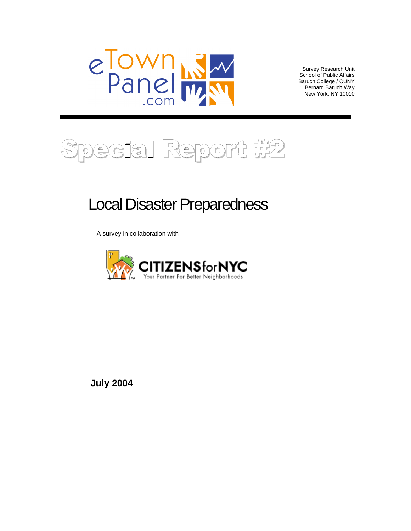

Survey Research Unit<br>School of Public Affairs School of Public Affairs Baruch College / CUNY 1 Bernard Baruch Way New York, NY 10010



# Local Disaster Preparedness

A survey in collaboration with



**July 2004**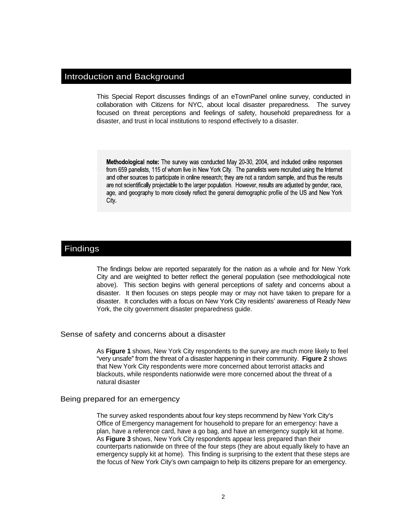## Introduction and Background

This Special Report discusses findings of an eTownPanel online survey, conducted in collaboration with Citizens for NYC, about local disaster preparedness. The survey focused on threat perceptions and feelings of safety, household preparedness for a disaster, and trust in local institutions to respond effectively to a disaster.

Methodological note: The survey was conducted May 20-30, 2004, and included online responses from 659 panelists, 115 of whom live in New York City. The panelists were recruited using the Internet and other sources to participate in online research; they are not a random sample, and thus the results are not scientifically projectable to the larger population. However, results are adjusted by gender, race, age, and geography to more closely reflect the general demographic profile of the US and New York City

## Findings

The findings below are reported separately for the nation as a whole and for New York City and are weighted to better reflect the general population (see methodological note above). This section begins with general perceptions of safety and concerns about a disaster. It then focuses on steps people may or may not have taken to prepare for a disaster. It concludes with a focus on New York City residents' awareness of Ready New York, the city government disaster preparedness guide.

Sense of safety and concerns about a disaster

As **Figure 1** shows, New York City respondents to the survey are much more likely to feel "very unsafe" from the threat of a disaster happening in their community. **Figure 2** shows that New York City respondents were more concerned about terrorist attacks and blackouts, while respondents nationwide were more concerned about the threat of a natural disaster

#### Being prepared for an emergency

The survey asked respondents about four key steps recommend by New York City s Office of Emergency management for household to prepare for an emergency: have a plan, have a reference card, have a go bag, and have an emergency supply kit at home. As **Figure 3** shows, New York City respondents appear less prepared than their counterparts nationwide on three of the four steps (they are about equally likely to have an emergency supply kit at home). This finding is surprising to the extent that these steps are the focus of New York City's own campaign to help its citizens prepare for an emergency.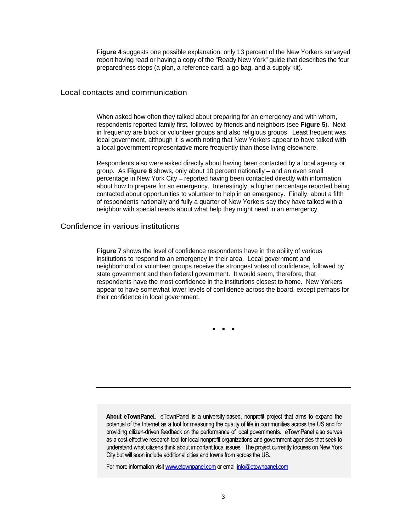**Figure 4** suggests one possible explanation: only 13 percent of the New Yorkers surveyed report having read or having a copy of the "Ready New York" guide that describes the four preparedness steps (a plan, a reference card, a go bag, and a supply kit).

Local contacts and communication

When asked how often they talked about preparing for an emergency and with whom, respondents reported family first, followed by friends and neighbors (see **Figure 5**). Next in frequency are block or volunteer groups and also religious groups. Least frequent was local government, although it is worth noting that New Yorkers appear to have talked with a local government representative more frequently than those living elsewhere.

Respondents also were asked directly about having been contacted by a local agency or group. As **Figure 6** shows, only about 10 percent nationally – and an even small percentage in New York City – reported having been contacted directly with information about how to prepare for an emergency. Interestingly, a higher percentage reported being contacted about opportunities to volunteer to help in an emergency. Finally, about a fifth of respondents nationally and fully a quarter of New Yorkers say they have talked with a neighbor with special needs about what help they might need in an emergency.

Confidence in various institutions

**Figure 7** shows the level of confidence respondents have in the ability of various institutions to respond to an emergency in their area. Local government and neighborhood or volunteer groups receive the strongest votes of confidence, followed by state government and then federal government. It would seem, therefore, that respondents have the most confidence in the institutions closest to home. New Yorkers appear to have somewhat lower levels of confidence across the board, except perhaps for their confidence in local government.

About eTownPanel. eTownPanel is a university-based, nonprofit project that aims to expand the potential of the Internet as a tool for measuring the quality of life in communities across the US and for providing citizen-driven feedback on the performance of local governments. eTownPanel also serves as a cost-effective research tool for local nonprofit organizations and government agencies that seek to understand what citizens think about important local issues. The project currently focuses on New York City but will soon include additional cities and towns from across the US.

For more information visit www.etownpanel.com or email info@etownpanel.com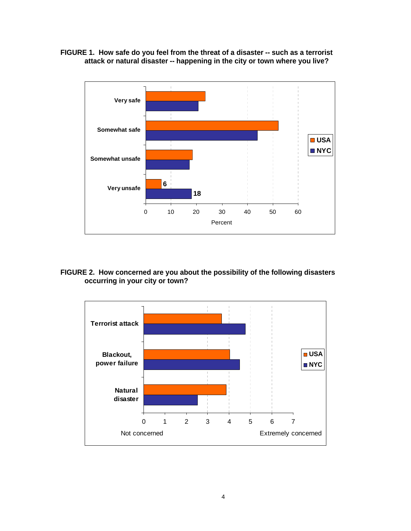



## **FIGURE 2. How concerned are you about the possibility of the following disasters occurring in your city or town?**

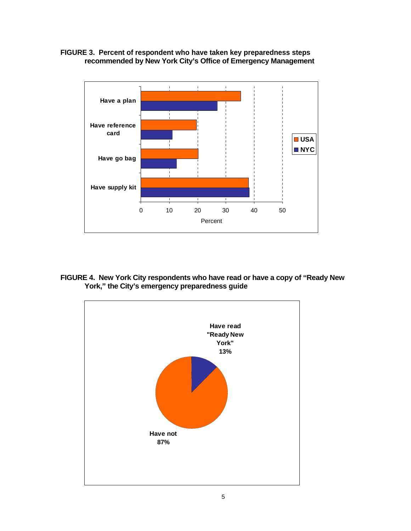**FIGURE 3. Percent of respondent who have taken key preparedness steps recommended by New York City s Office of Emergency Management**



**FIGURE 4.** New York City respondents who have read or have a copy of "Ready New **York, the City s emergency preparedness guide**

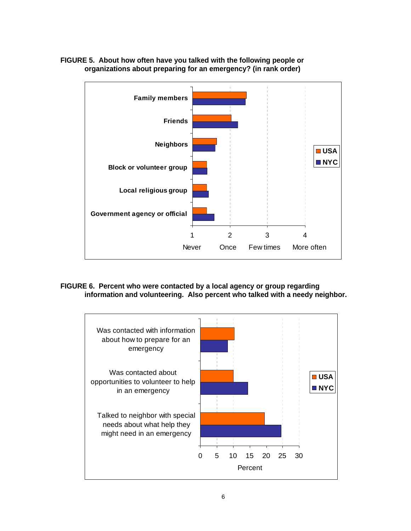

## **FIGURE 5. About how often have you talked with the following people or organizations about preparing for an emergency? (in rank order)**

### **FIGURE 6. Percent who were contacted by a local agency or group regarding information and volunteering. Also percent who talked with a needy neighbor.**